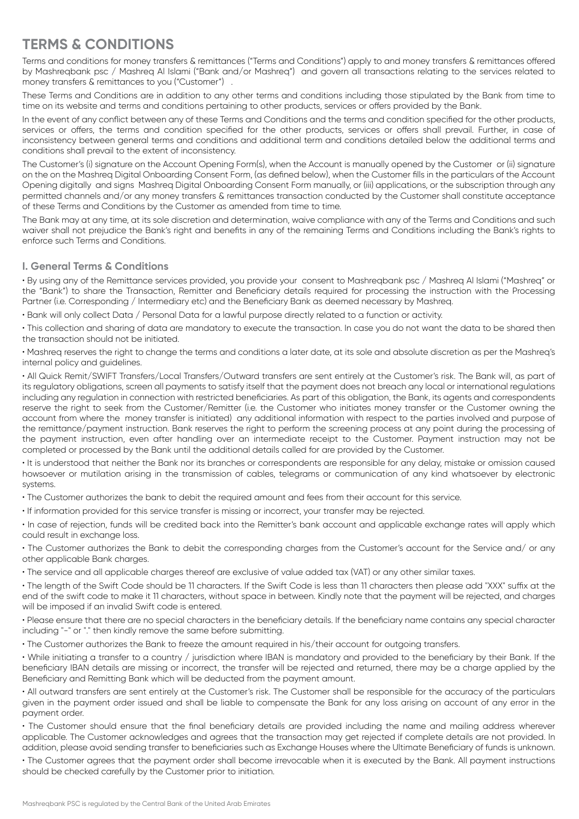# **TERMS & CONDITIONS**

Terms and conditions for money transfers & remittances ("Terms and Conditions") apply to and money transfers & remittances offered by Mashreqbank psc / Mashreq Al Islami ("Bank and/or Mashreq") and govern all transactions relating to the services related to money transfers & remittances to you ("Customer") .

These Terms and Conditions are in addition to any other terms and conditions including those stipulated by the Bank from time to time on its website and terms and conditions pertaining to other products, services or offers provided by the Bank.

In the event of any conflict between any of these Terms and Conditions and the terms and condition specified for the other products, services or offers, the terms and condition specified for the other products, services or offers shall prevail. Further, in case of inconsistency between general terms and conditions and additional term and conditions detailed below the additional terms and conditions shall prevail to the extent of inconsistency.

The Customer's (i) signature on the Account Opening Form(s), when the Account is manually opened by the Customer or (ii) signature on the on the Mashreq Digital Onboarding Consent Form, (as defined below), when the Customer fills in the particulars of the Account Opening digitally and signs Mashreq Digital Onboarding Consent Form manually, or (iii) applications, or the subscription through any permitted channels and/or any money transfers & remittances transaction conducted by the Customer shall constitute acceptance of these Terms and Conditions by the Customer as amended from time to time.

The Bank may at any time, at its sole discretion and determination, waive compliance with any of the Terms and Conditions and such waiver shall not prejudice the Bank's right and benefits in any of the remaining Terms and Conditions including the Bank's rights to enforce such Terms and Conditions.

# **I. General Terms & Conditions**

• By using any of the Remittance services provided, you provide your consent to Mashreqbank psc / Mashreq Al Islami ("Mashreq" or the "Bank") to share the Transaction, Remitter and Beneficiary details required for processing the instruction with the Processing Partner (i.e. Corresponding / Intermediary etc) and the Beneficiary Bank as deemed necessary by Mashreq.

• Bank will only collect Data / Personal Data for a lawful purpose directly related to a function or activity.

• This collection and sharing of data are mandatory to execute the transaction. In case you do not want the data to be shared then the transaction should not be initiated.

• Mashreq reserves the right to change the terms and conditions a later date, at its sole and absolute discretion as per the Mashreq's internal policy and guidelines.

• All Quick Remit/SWIFT Transfers/Local Transfers/Outward transfers are sent entirely at the Customer's risk. The Bank will, as part of its regulatory obligations, screen all payments to satisfy itself that the payment does not breach any local or international regulations including any regulation in connection with restricted beneficiaries. As part of this obligation, the Bank, its agents and correspondents reserve the right to seek from the Customer/Remitter (i.e. the Customer who initiates money transfer or the Customer owning the account from where the money transfer is initiated) any additional information with respect to the parties involved and purpose of the remittance/payment instruction. Bank reserves the right to perform the screening process at any point during the processing of the payment instruction, even after handling over an intermediate receipt to the Customer. Payment instruction may not be completed or processed by the Bank until the additional details called for are provided by the Customer.

• It is understood that neither the Bank nor its branches or correspondents are responsible for any delay, mistake or omission caused howsoever or mutilation arising in the transmission of cables, telegrams or communication of any kind whatsoever by electronic systems.

• The Customer authorizes the bank to debit the required amount and fees from their account for this service.

• If information provided for this service transfer is missing or incorrect, your transfer may be rejected.

• In case of rejection, funds will be credited back into the Remitter's bank account and applicable exchange rates will apply which could result in exchange loss.

• The Customer authorizes the Bank to debit the corresponding charges from the Customer's account for the Service and/ or any other applicable Bank charges.

• The service and all applicable charges thereof are exclusive of value added tax (VAT) or any other similar taxes.

• The length of the Swift Code should be 11 characters. If the Swift Code is less than 11 characters then please add "XXX" suffix at the end of the swift code to make it 11 characters, without space in between. Kindly note that the payment will be rejected, and charges will be imposed if an invalid Swift code is entered.

• Please ensure that there are no special characters in the beneficiary details. If the beneficiary name contains any special character including "-" or "." then kindly remove the same before submitting.

• The Customer authorizes the Bank to freeze the amount required in his/their account for outgoing transfers.

• While initiating a transfer to a country / jurisdiction where IBAN is mandatory and provided to the beneficiary by their Bank. If the beneficiary IBAN details are missing or incorrect, the transfer will be rejected and returned, there may be a charge applied by the Beneficiary and Remitting Bank which will be deducted from the payment amount.

• All outward transfers are sent entirely at the Customer's risk. The Customer shall be responsible for the accuracy of the particulars given in the payment order issued and shall be liable to compensate the Bank for any loss arising on account of any error in the payment order.

• The Customer should ensure that the final beneficiary details are provided including the name and mailing address wherever applicable. The Customer acknowledges and agrees that the transaction may get rejected if complete details are not provided. In addition, please avoid sending transfer to beneficiaries such as Exchange Houses where the Ultimate Beneficiary of funds is unknown.

• The Customer agrees that the payment order shall become irrevocable when it is executed by the Bank. All payment instructions should be checked carefully by the Customer prior to initiation.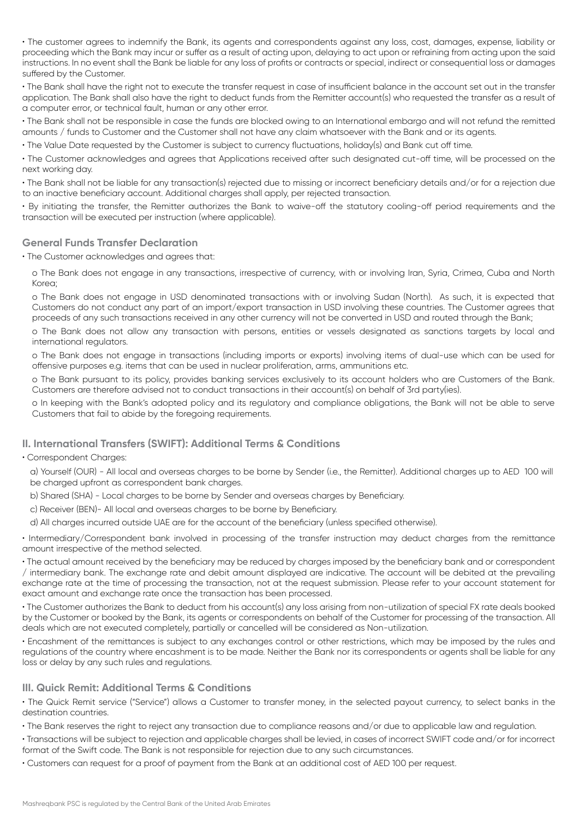• The customer agrees to indemnify the Bank, its agents and correspondents against any loss, cost, damages, expense, liability or proceeding which the Bank may incur or suffer as a result of acting upon, delaying to act upon or refraining from acting upon the said instructions. In no event shall the Bank be liable for any loss of profits or contracts or special, indirect or consequential loss or damages suffered by the Customer.

• The Bank shall have the right not to execute the transfer request in case of insufficient balance in the account set out in the transfer application. The Bank shall also have the right to deduct funds from the Remitter account(s) who requested the transfer as a result of a computer error, or technical fault, human or any other error.

• The Bank shall not be responsible in case the funds are blocked owing to an International embargo and will not refund the remitted amounts / funds to Customer and the Customer shall not have any claim whatsoever with the Bank and or its agents.

• The Value Date requested by the Customer is subject to currency fluctuations, holiday(s) and Bank cut off time.

• The Customer acknowledges and agrees that Applications received after such designated cut-off time, will be processed on the next working day.

• The Bank shall not be liable for any transaction(s) rejected due to missing or incorrect beneficiary details and/or for a rejection due to an inactive beneficiary account. Additional charges shall apply, per rejected transaction.

• By initiating the transfer, the Remitter authorizes the Bank to waive-off the statutory cooling-off period requirements and the transaction will be executed per instruction (where applicable).

## **General Funds Transfer Declaration**

• The Customer acknowledges and agrees that:

o The Bank does not engage in any transactions, irrespective of currency, with or involving Iran, Syria, Crimea, Cuba and North Korea;

o The Bank does not engage in USD denominated transactions with or involving Sudan (North). As such, it is expected that Customers do not conduct any part of an import/export transaction in USD involving these countries. The Customer agrees that proceeds of any such transactions received in any other currency will not be converted in USD and routed through the Bank;

o The Bank does not allow any transaction with persons, entities or vessels designated as sanctions targets by local and international regulators.

o The Bank does not engage in transactions (including imports or exports) involving items of dual-use which can be used for offensive purposes e.g. items that can be used in nuclear proliferation, arms, ammunitions etc.

o The Bank pursuant to its policy, provides banking services exclusively to its account holders who are Customers of the Bank. Customers are therefore advised not to conduct transactions in their account(s) on behalf of 3rd party(ies).

o In keeping with the Bank's adopted policy and its regulatory and compliance obligations, the Bank will not be able to serve Customers that fail to abide by the foregoing requirements.

# **II. International Transfers (SWIFT): Additional Terms & Conditions**

#### • Correspondent Charges:

a) Yourself (OUR) - All local and overseas charges to be borne by Sender (i.e., the Remitter). Additional charges up to AED 100 will be charged upfront as correspondent bank charges.

b) Shared (SHA) - Local charges to be borne by Sender and overseas charges by Beneficiary.

c) Receiver (BEN)- All local and overseas charges to be borne by Beneficiary.

d) All charges incurred outside UAE are for the account of the beneficiary (unless specified otherwise).

• Intermediary/Correspondent bank involved in processing of the transfer instruction may deduct charges from the remittance amount irrespective of the method selected.

• The actual amount received by the beneficiary may be reduced by charges imposed by the beneficiary bank and or correspondent / intermediary bank. The exchange rate and debit amount displayed are indicative. The account will be debited at the prevailing exchange rate at the time of processing the transaction, not at the request submission. Please refer to your account statement for exact amount and exchange rate once the transaction has been processed.

• The Customer authorizes the Bank to deduct from his account(s) any loss arising from non-utilization of special FX rate deals booked by the Customer or booked by the Bank, its agents or correspondents on behalf of the Customer for processing of the transaction. All deals which are not executed completely, partially or cancelled will be considered as Non-utilization.

• Encashment of the remittances is subject to any exchanges control or other restrictions, which may be imposed by the rules and regulations of the country where encashment is to be made. Neither the Bank nor its correspondents or agents shall be liable for any loss or delay by any such rules and regulations.

#### **III. Quick Remit: Additional Terms & Conditions**

• The Quick Remit service ("Service") allows a Customer to transfer money, in the selected payout currency, to select banks in the destination countries.

• The Bank reserves the right to reject any transaction due to compliance reasons and/or due to applicable law and regulation.

• Transactions will be subject to rejection and applicable charges shall be levied, in cases of incorrect SWIFT code and/or for incorrect format of the Swift code. The Bank is not responsible for rejection due to any such circumstances.

• Customers can request for a proof of payment from the Bank at an additional cost of AED 100 per request.